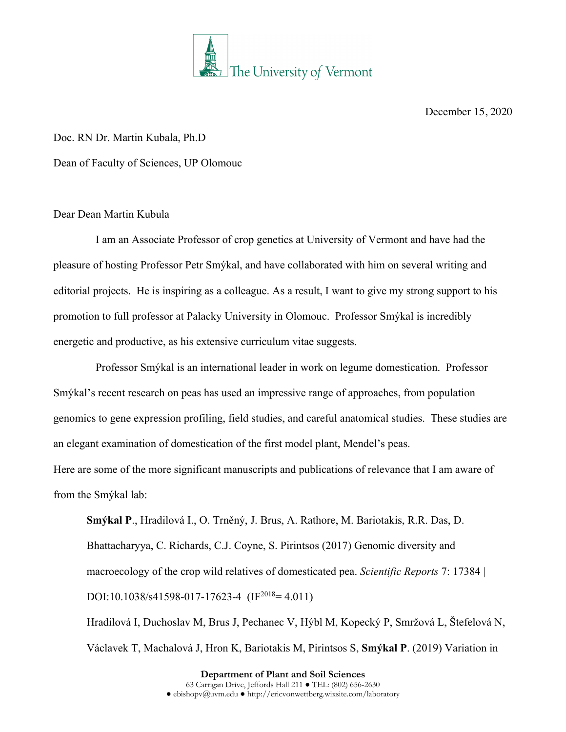

December 15, 2020

Doc. RN Dr. Martin Kubala, Ph.D Dean of Faculty of Sciences, UP Olomouc

## Dear Dean Martin Kubula

I am an Associate Professor of crop genetics at University of Vermont and have had the pleasure of hosting Professor Petr Smýkal, and have collaborated with him on several writing and editorial projects. He is inspiring as a colleague. As a result, I want to give my strong support to his promotion to full professor at Palacky University in Olomouc. Professor Smýkal is incredibly energetic and productive, as his extensive curriculum vitae suggests.

Professor Smýkal is an international leader in work on legume domestication. Professor Smýkal's recent research on peas has used an impressive range of approaches, from population genomics to gene expression profiling, field studies, and careful anatomical studies. These studies are an elegant examination of domestication of the first model plant, Mendel's peas.

Here are some of the more significant manuscripts and publications of relevance that I am aware of from the Smýkal lab:

**Smýkal P**., Hradilová I., O. Trněný, J. Brus, A. Rathore, M. Bariotakis, R.R. Das, D. Bhattacharyya, C. Richards, C.J. Coyne, S. Pirintsos (2017) Genomic diversity and macroecology of the crop wild relatives of domesticated pea. *Scientific Reports* 7: 17384 | DOI:10.1038/s41598-017-17623-4 (IF<sup>2018</sup>= 4.011) Hradilová I, Duchoslav M, Brus J, Pechanec V, Hýbl M, Kopecký P, Smržová L, Štefelová N,

Václavek T, Machalová J, Hron K, Bariotakis M, Pirintsos S, **Smýkal P**. (2019) Variation in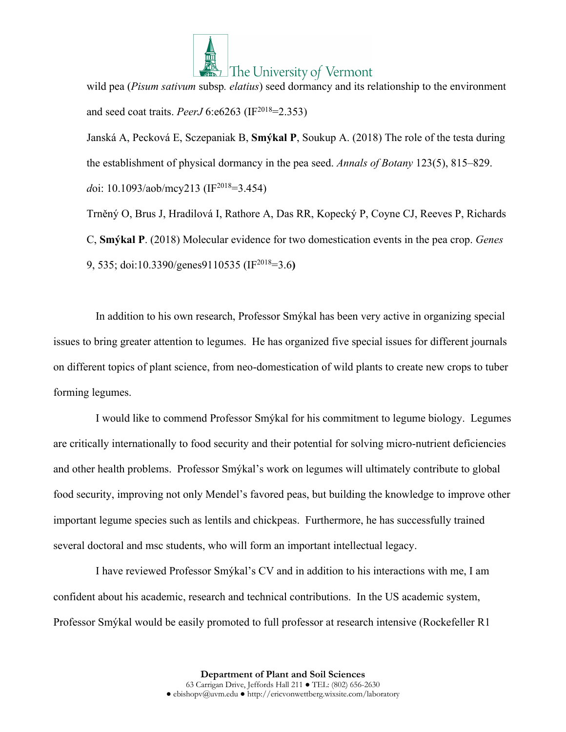

wild pea (*Pisum sativum* subsp*. elatius*) seed dormancy and its relationship to the environment and seed coat traits. *PeerJ* 6:e6263 (IF2018=2.353)

Janská A, Pecková E, Sczepaniak B, **Smýkal P**, Soukup A. (2018) The role of the testa during the establishment of physical dormancy in the pea seed. *Annals of Botany* 123(5), 815–829. doi: 10.1093/aob/mcy213 (IF<sup>2018</sup>=3.454)

Trněný O, Brus J, Hradilová I, Rathore A, Das RR, Kopecký P, Coyne CJ, Reeves P, Richards C, **Smýkal P**. (2018) Molecular evidence for two domestication events in the pea crop. *Genes* 9, 535; doi:10.3390/genes9110535 (IF2018=3.6**)**

In addition to his own research, Professor Smýkal has been very active in organizing special issues to bring greater attention to legumes. He has organized five special issues for different journals on different topics of plant science, from neo-domestication of wild plants to create new crops to tuber forming legumes.

I would like to commend Professor Smýkal for his commitment to legume biology. Legumes are critically internationally to food security and their potential for solving micro-nutrient deficiencies and other health problems. Professor Smýkal's work on legumes will ultimately contribute to global food security, improving not only Mendel's favored peas, but building the knowledge to improve other important legume species such as lentils and chickpeas. Furthermore, he has successfully trained several doctoral and msc students, who will form an important intellectual legacy.

I have reviewed Professor Smýkal's CV and in addition to his interactions with me, I am confident about his academic, research and technical contributions. In the US academic system, Professor Smýkal would be easily promoted to full professor at research intensive (Rockefeller R1